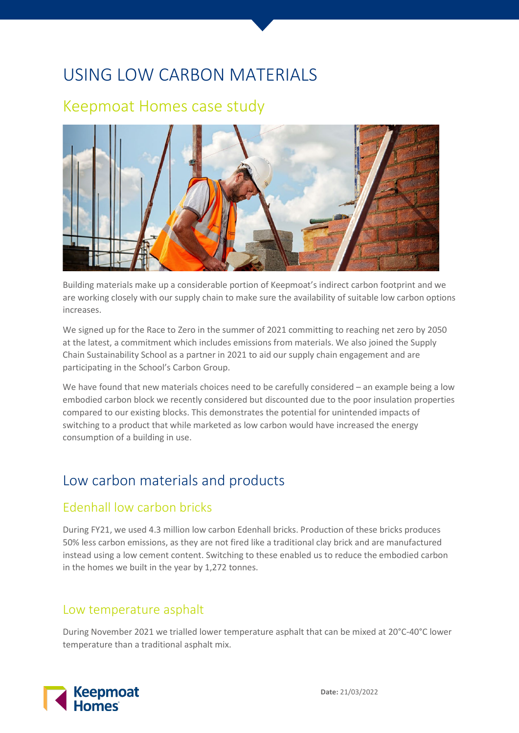# USING LOW CARBON MATERIALS

## Keepmoat Homes case study



Building materials make up a considerable portion of Keepmoat's indirect carbon footprint and we are working closely with our supply chain to make sure the availability of suitable low carbon options increases.

We signed up for the Race to Zero in the summer of 2021 committing to reaching net zero by 2050 at the latest, a commitment which includes emissions from materials. We also joined the Supply Chain Sustainability School as a partner in 2021 to aid our supply chain engagement and are participating in the School's Carbon Group.

We have found that new materials choices need to be carefully considered – an example being a low embodied carbon block we recently considered but discounted due to the poor insulation properties compared to our existing blocks. This demonstrates the potential for unintended impacts of switching to a product that while marketed as low carbon would have increased the energy consumption of a building in use.

### Low carbon materials and products

#### Edenhall low carbon bricks

During FY21, we used 4.3 million low carbon Edenhall bricks. Production of these bricks produces 50% less carbon emissions, as they are not fired like a traditional clay brick and are manufactured instead using a low cement content. Switching to these enabled us to reduce the embodied carbon in the homes we built in the year by 1,272 tonnes.

#### Low temperature asphalt

During November 2021 we trialled lower temperature asphalt that can be mixed at 20°C-40°C lower temperature than a traditional asphalt mix.